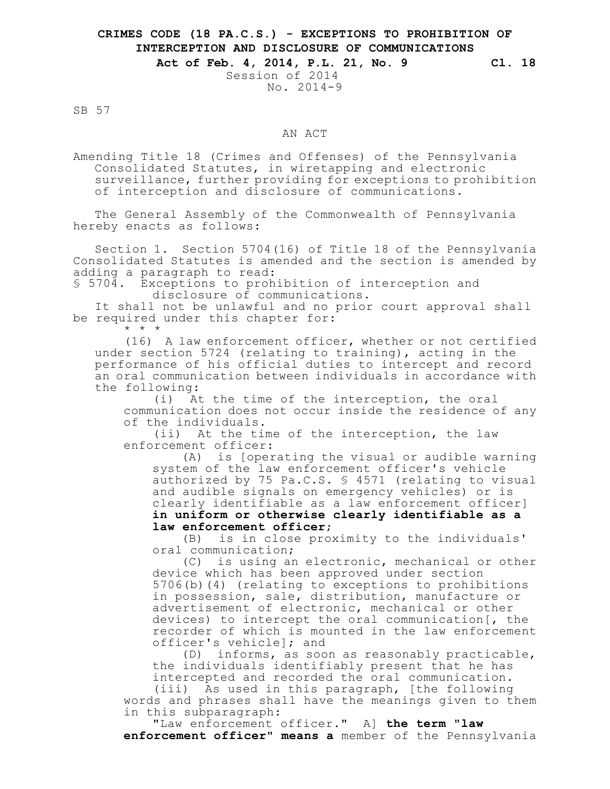## **CRIMES CODE (18 PA.C.S.) - EXCEPTIONS TO PROHIBITION OF INTERCEPTION AND DISCLOSURE OF COMMUNICATIONS**

## **Act of Feb. 4, 2014, P.L. 21, No. 9 Cl. 18**

Session of 2014 No. 2014-9

SB 57

## AN ACT

Amending Title 18 (Crimes and Offenses) of the Pennsylvania Consolidated Statutes, in wiretapping and electronic surveillance, further providing for exceptions to prohibition of interception and disclosure of communications.

The General Assembly of the Commonwealth of Pennsylvania hereby enacts as follows:

Section 1. Section 5704(16) of Title 18 of the Pennsylvania Consolidated Statutes is amended and the section is amended by adding a paragraph to read:

§ 5704. Exceptions to prohibition of interception and disclosure of communications.

It shall not be unlawful and no prior court approval shall be required under this chapter for: \* \* \*

(16) A law enforcement officer, whether or not certified under section 5724 (relating to training), acting in the performance of his official duties to intercept and record an oral communication between individuals in accordance with the following:

(i) At the time of the interception, the oral communication does not occur inside the residence of any of the individuals.

(ii) At the time of the interception, the law enforcement officer:

(A) is [operating the visual or audible warning system of the law enforcement officer's vehicle authorized by 75 Pa.C.S. § 4571 (relating to visual and audible signals on emergency vehicles) or is clearly identifiable as a law enforcement officer] **in uniform or otherwise clearly identifiable as a law enforcement officer**;

(B) is in close proximity to the individuals' oral communication;

(C) is using an electronic, mechanical or other device which has been approved under section 5706(b)(4) (relating to exceptions to prohibitions in possession, sale, distribution, manufacture or advertisement of electronic, mechanical or other devices) to intercept the oral communication[, the recorder of which is mounted in the law enforcement officer's vehicle]; and

(D) informs, as soon as reasonably practicable, the individuals identifiably present that he has intercepted and recorded the oral communication. (iii) As used in this paragraph, [the following

words and phrases shall have the meanings given to them in this subparagraph:

"Law enforcement officer." A] **the term "law enforcement officer" means a** member of the Pennsylvania